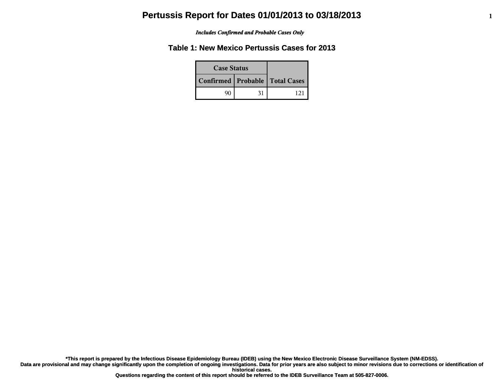#### *Includes Confirmed and Probable Cases Only*

### **Table 1: New Mexico Pertussis Cases for 2013**

| <b>Case Status</b>                 |    |  |
|------------------------------------|----|--|
| Confirmed   Probable   Total Cases |    |  |
|                                    | 31 |  |

**\*This report is prepared by the Infectious Disease Epidemiology Bureau (IDEB) using the New Mexico Electronic Disease Surveillance System (NM-EDSS).**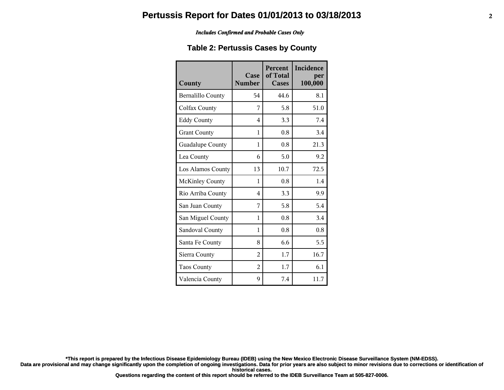#### *Includes Confirmed and Probable Cases Only*

### **Table 2: Pertussis Cases by County**

| County                   | Case<br><b>Number</b> | <b>Percent</b><br>of Total<br><b>Cases</b> | Incidence<br>per<br>100,000 |
|--------------------------|-----------------------|--------------------------------------------|-----------------------------|
| <b>Bernalillo County</b> | 54                    | 44.6                                       | 8.1                         |
| Colfax County            | 7                     | 5.8                                        | 51.0                        |
| <b>Eddy County</b>       | 4                     | 3.3                                        | 7.4                         |
| <b>Grant County</b>      | 1                     | 0.8                                        | 3.4                         |
| Guadalupe County         | 1                     | 0.8                                        | 21.3                        |
| Lea County               | 6                     | 5.0                                        | 9.2                         |
| Los Alamos County        | 13                    | 10.7                                       | 72.5                        |
| <b>McKinley County</b>   | 1                     | 0.8                                        | 1.4                         |
| Rio Arriba County        | 4                     | 3.3                                        | 9.9                         |
| San Juan County          | 7                     | 5.8                                        | 5.4                         |
| San Miguel County        | 1                     | 0.8                                        | 3.4                         |
| Sandoval County          | 1                     | 0.8                                        | 0.8                         |
| Santa Fe County          | 8                     | 6.6                                        | 5.5                         |
| Sierra County            | $\overline{2}$        | 1.7                                        | 16.7                        |
| <b>Taos County</b>       | $\overline{2}$        | 1.7                                        | 6.1                         |
| Valencia County          | 9                     | 7.4                                        | 11.7                        |

**\*This report is prepared by the Infectious Disease Epidemiology Bureau (IDEB) using the New Mexico Electronic Disease Surveillance System (NM-EDSS).**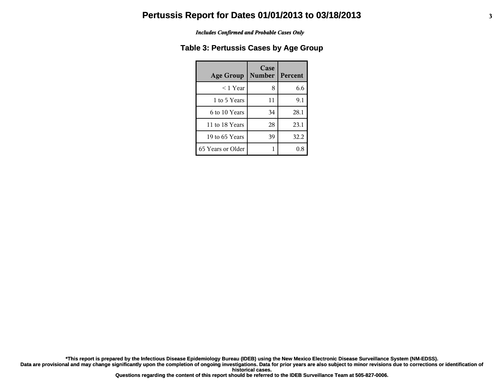#### *Includes Confirmed and Probable Cases Only*

### **Table 3: Pertussis Cases by Age Group**

| <b>Age Group</b>  | Case<br><b>Number</b> | Percent |
|-------------------|-----------------------|---------|
| ≤ 1 Year          | 8                     | 6.6     |
| 1 to 5 Years      | 11                    | 9.1     |
| 6 to 10 Years     | 34                    | 28.1    |
| 11 to 18 Years    | 28                    | 23.1    |
| 19 to 65 Years    | 39                    | 32.2    |
| 65 Years or Older |                       |         |

**\*This report is prepared by the Infectious Disease Epidemiology Bureau (IDEB) using the New Mexico Electronic Disease Surveillance System (NM-EDSS).**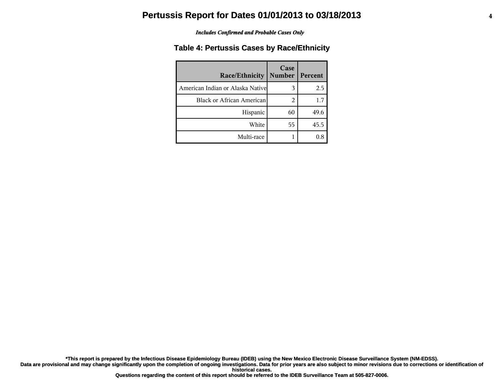#### *Includes Confirmed and Probable Cases Only*

### **Table 4: Pertussis Cases by Race/Ethnicity**

| <b>Race/Ethnicity</b>             | Case<br><b>Number</b> | Percent |
|-----------------------------------|-----------------------|---------|
| American Indian or Alaska Nativel | 3                     | 2.5     |
| <b>Black or African American</b>  | 2                     | 1.7     |
| Hispanic                          | 60                    | 49.6    |
| White                             | 55                    | 45.5    |
| Multi-race                        |                       | 0.8     |

**\*This report is prepared by the Infectious Disease Epidemiology Bureau (IDEB) using the New Mexico Electronic Disease Surveillance System (NM-EDSS).**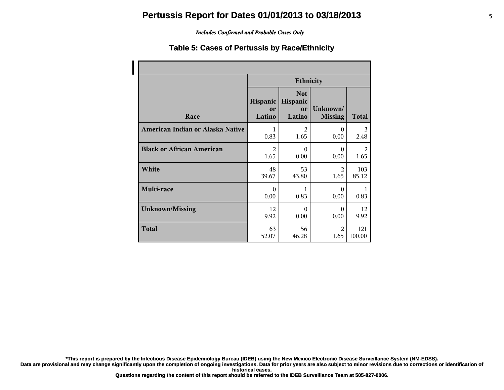### *Includes Confirmed and Probable Cases Only*

### **Table 5: Cases of Pertussis by Race/Ethnicity**

|                                  | <b>Ethnicity</b>         |                                               |                            |        |
|----------------------------------|--------------------------|-----------------------------------------------|----------------------------|--------|
| Race                             | Hispanic<br>or<br>Latino | <b>Not</b><br>Hispanic<br><b>or</b><br>Latino | Unknown/<br><b>Missing</b> | Total  |
| American Indian or Alaska Native | 1                        | $\overline{2}$                                | $\theta$                   | 3      |
|                                  | 0.83                     | 1.65                                          | 0.00                       | 2.48   |
| <b>Black or African American</b> | $\overline{2}$           | $\Omega$                                      | $\Omega$                   | 2      |
|                                  | 1.65                     | 0.00                                          | 0.00                       | 1.65   |
| White                            | 48                       | 53                                            | $\mathfrak{D}$             | 103    |
|                                  | 39.67                    | 43.80                                         | 1.65                       | 85.12  |
| Multi-race                       | $\Omega$<br>0.00         | 1<br>0.83                                     | $\Omega$<br>0.00           | 0.83   |
| <b>Unknown/Missing</b>           | 12                       | $\theta$                                      | $\Omega$                   | 12     |
|                                  | 9.92                     | 0.00                                          | 0.00                       | 9.92   |
| <b>Total</b>                     | 63                       | 56                                            | $\mathfrak{D}$             | 121    |
|                                  | 52.07                    | 46.28                                         | 1.65                       | 100.00 |

**\*This report is prepared by the Infectious Disease Epidemiology Bureau (IDEB) using the New Mexico Electronic Disease Surveillance System (NM-EDSS).**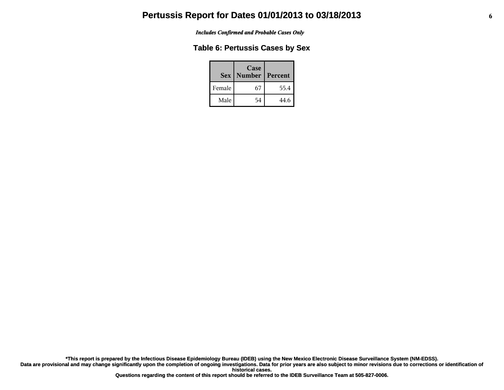*Includes Confirmed and Probable Cases Only*

### **Table 6: Pertussis Cases by Sex**

|        | Case<br><b>Sex   Number</b> | Percent |
|--------|-----------------------------|---------|
| Female | 67                          | 55.4    |
| Male   | 54                          | 44.6    |

**\*This report is prepared by the Infectious Disease Epidemiology Bureau (IDEB) using the New Mexico Electronic Disease Surveillance System (NM-EDSS).**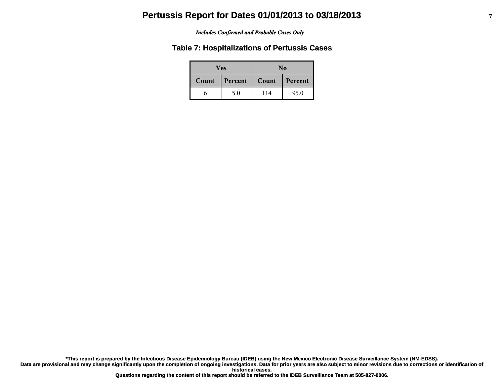#### *Includes Confirmed and Probable Cases Only*

### **Table 7: Hospitalizations of Pertussis Cases**

| Yes          |         | No    |         |
|--------------|---------|-------|---------|
| <b>Count</b> | Percent | Count | Percent |
|              | 5.0     | 114   | 95.0    |

**\*This report is prepared by the Infectious Disease Epidemiology Bureau (IDEB) using the New Mexico Electronic Disease Surveillance System (NM-EDSS).**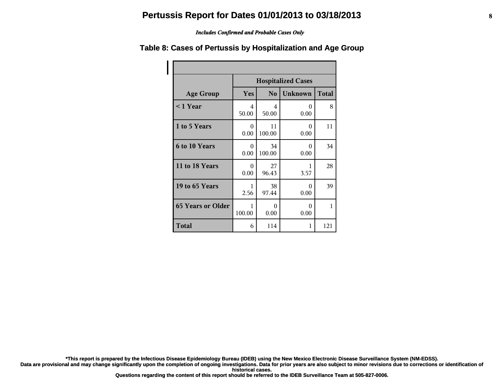#### *Includes Confirmed and Probable Cases Only*

#### **Age Group Hospitalized Cases Yes No Unknown Total < 1 Year** 4 50.00 4 50.00 0 0.00 8 **1 to 5 Years** 1 0 0.00 11 100.00 0 0.00 11 **6 to 10 Years** 1 0 0.00 34 100.00 0 0.00 34 **11 to 18 Years** 1 0 0.00 27 96.43 1 3.57 28 **19 to 65 Years** 1 2.56 38 97.44 0 0.00 39 **65 Years or Older** 1 100.00 0 0.00 0 0.00 1 **Total** 6 114 1 121

### **Table 8: Cases of Pertussis by Hospitalization and Age Group**

**\*This report is prepared by the Infectious Disease Epidemiology Bureau (IDEB) using the New Mexico Electronic Disease Surveillance System (NM-EDSS).**